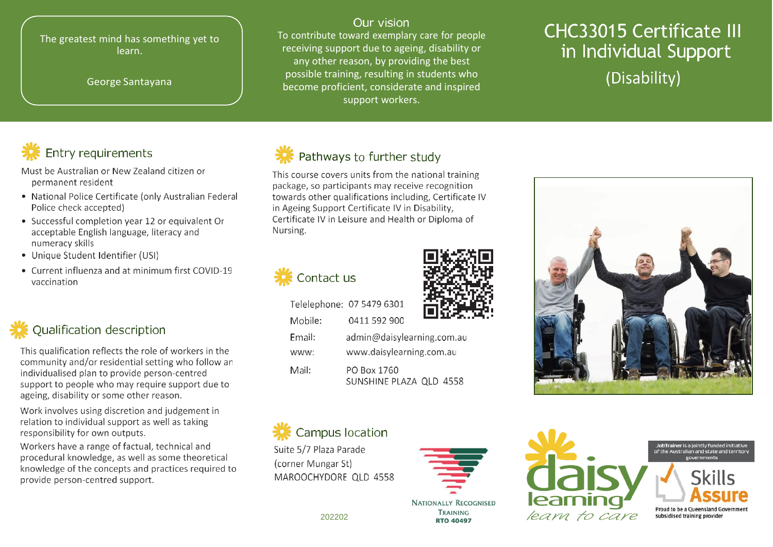#### The greatest mind has something yet to learn.

#### George Santavana

#### Our vision

To contribute toward exemplary care for people receiving support due to ageing, disability or any other reason, by providing the best possible training, resulting in students who become proficient, considerate and inspired support workers.

# **CHC33015 Certificate III** in Individual Support (Disability)

# **Entry requirements**

Must be Australian or New Zealand citizen or permanent resident

- National Police Certificate (only Australian Federal Police check accepted)
- Successful completion year 12 or equivalent Or acceptable English language, literacy and numeracy skills
- Unique Student Identifier (USI)
- Current influenza and at minimum first COVID-19 vaccination

# **Qualification description**

This qualification reflects the role of workers in the community and/or residential setting who follow an individualised plan to provide person-centred support to people who may require support due to ageing, disability or some other reason.

Work involves using discretion and judgement in relation to individual support as well as taking responsibility for own outputs.

Workers have a range of factual, technical and procedural knowledge, as well as some theoretical knowledge of the concepts and practices required to provide person-centred support.



### Pathways to further study

This course covers units from the national training package, so participants may receive recognition towards other qualifications including, Certificate IV in Ageing Support Certificate IV in Disability, Certificate IV in Leisure and Health or Diploma of Nursing.





Telelephone: 07 5479 6301

Mobile:

Email:

www:

Mail:

www.daisylearning.com.au PO Box 1760 SUNSHINE PLAZA QLD 4558

# Campus location

Suite 5/7 Plaza Parade (corner Mungar St) MAROOCHYDORE OLD 4558





JobTrainer is a jointly funded initiative<br>of the Australian and state and territor



202202

0411 592 900

admin@daisylearning.com.au